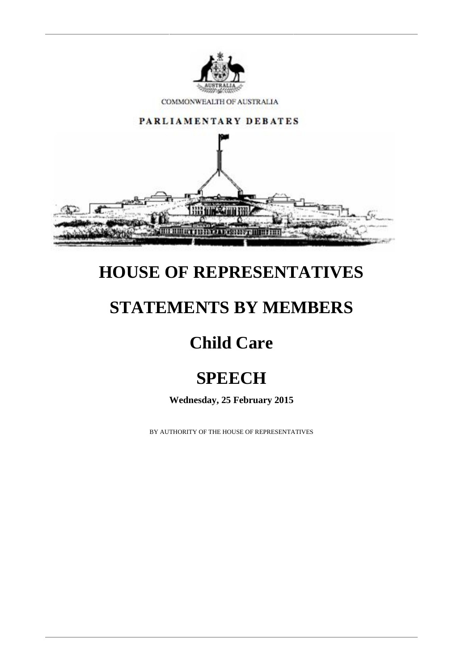

COMMONWEALTH OF AUSTRALIA



### **HOUSE OF REPRESENTATIVES**

#### **STATEMENTS BY MEMBERS**

# **Child Care**

# **SPEECH**

**Wednesday, 25 February 2015**

BY AUTHORITY OF THE HOUSE OF REPRESENTATIVES